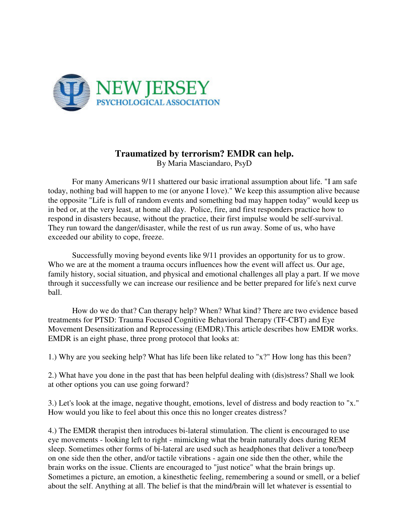

## **Traumatized by terrorism? EMDR can help.**

By Maria Masciandaro, PsyD

 For many Americans 9/11 shattered our basic irrational assumption about life. "I am safe today, nothing bad will happen to me (or anyone I love)." We keep this assumption alive because the opposite "Life is full of random events and something bad may happen today" would keep us in bed or, at the very least, at home all day. Police, fire, and first responders practice how to respond in disasters because, without the practice, their first impulse would be self-survival. They run toward the danger/disaster, while the rest of us run away. Some of us, who have exceeded our ability to cope, freeze.

 Successfully moving beyond events like 9/11 provides an opportunity for us to grow. Who we are at the moment a trauma occurs influences how the event will affect us. Our age, family history, social situation, and physical and emotional challenges all play a part. If we move through it successfully we can increase our resilience and be better prepared for life's next curve ball.

 How do we do that? Can therapy help? When? What kind? There are two evidence based treatments for PTSD: Trauma Focused Cognitive Behavioral Therapy (TF-CBT) and Eye Movement Desensitization and Reprocessing (EMDR).This article describes how EMDR works. EMDR is an eight phase, three prong protocol that looks at:

1.) Why are you seeking help? What has life been like related to "x?" How long has this been?

2.) What have you done in the past that has been helpful dealing with (dis)stress? Shall we look at other options you can use going forward?

3.) Let's look at the image, negative thought, emotions, level of distress and body reaction to "x." How would you like to feel about this once this no longer creates distress?

4.) The EMDR therapist then introduces bi-lateral stimulation. The client is encouraged to use eye movements - looking left to right - mimicking what the brain naturally does during REM sleep. Sometimes other forms of bi-lateral are used such as headphones that deliver a tone/beep on one side then the other, and/or tactile vibrations - again one side then the other, while the brain works on the issue. Clients are encouraged to "just notice" what the brain brings up. Sometimes a picture, an emotion, a kinesthetic feeling, remembering a sound or smell, or a belief about the self. Anything at all. The belief is that the mind/brain will let whatever is essential to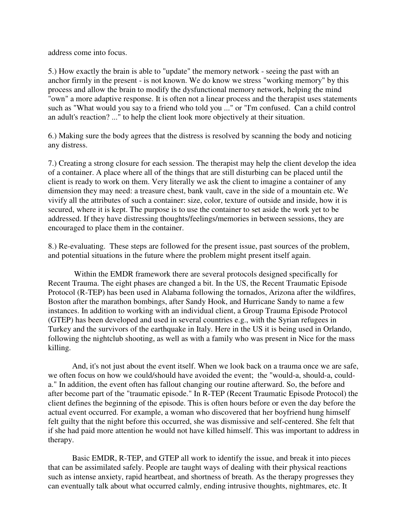address come into focus.

5.) How exactly the brain is able to "update" the memory network - seeing the past with an anchor firmly in the present - is not known. We do know we stress "working memory" by this process and allow the brain to modify the dysfunctional memory network, helping the mind "own" a more adaptive response. It is often not a linear process and the therapist uses statements such as "What would you say to a friend who told you ..." or "I'm confused. Can a child control an adult's reaction? ..." to help the client look more objectively at their situation.

6.) Making sure the body agrees that the distress is resolved by scanning the body and noticing any distress.

7.) Creating a strong closure for each session. The therapist may help the client develop the idea of a container. A place where all of the things that are still disturbing can be placed until the client is ready to work on them. Very literally we ask the client to imagine a container of any dimension they may need: a treasure chest, bank vault, cave in the side of a mountain etc. We vivify all the attributes of such a container: size, color, texture of outside and inside, how it is secured, where it is kept. The purpose is to use the container to set aside the work yet to be addressed. If they have distressing thoughts/feelings/memories in between sessions, they are encouraged to place them in the container.

8.) Re-evaluating. These steps are followed for the present issue, past sources of the problem, and potential situations in the future where the problem might present itself again.

 Within the EMDR framework there are several protocols designed specifically for Recent Trauma. The eight phases are changed a bit. In the US, the Recent Traumatic Episode Protocol (R-TEP) has been used in Alabama following the tornados, Arizona after the wildfires, Boston after the marathon bombings, after Sandy Hook, and Hurricane Sandy to name a few instances. In addition to working with an individual client, a Group Trauma Episode Protocol (GTEP) has been developed and used in several countries e.g., with the Syrian refugees in Turkey and the survivors of the earthquake in Italy. Here in the US it is being used in Orlando, following the nightclub shooting, as well as with a family who was present in Nice for the mass killing.

 And, it's not just about the event itself. When we look back on a trauma once we are safe, we often focus on how we could/should have avoided the event; the "would-a, should-a, coulda." In addition, the event often has fallout changing our routine afterward. So, the before and after become part of the "traumatic episode." In R-TEP (Recent Traumatic Episode Protocol) the client defines the beginning of the episode. This is often hours before or even the day before the actual event occurred. For example, a woman who discovered that her boyfriend hung himself felt guilty that the night before this occurred, she was dismissive and self-centered. She felt that if she had paid more attention he would not have killed himself. This was important to address in therapy.

 Basic EMDR, R-TEP, and GTEP all work to identify the issue, and break it into pieces that can be assimilated safely. People are taught ways of dealing with their physical reactions such as intense anxiety, rapid heartbeat, and shortness of breath. As the therapy progresses they can eventually talk about what occurred calmly, ending intrusive thoughts, nightmares, etc. It